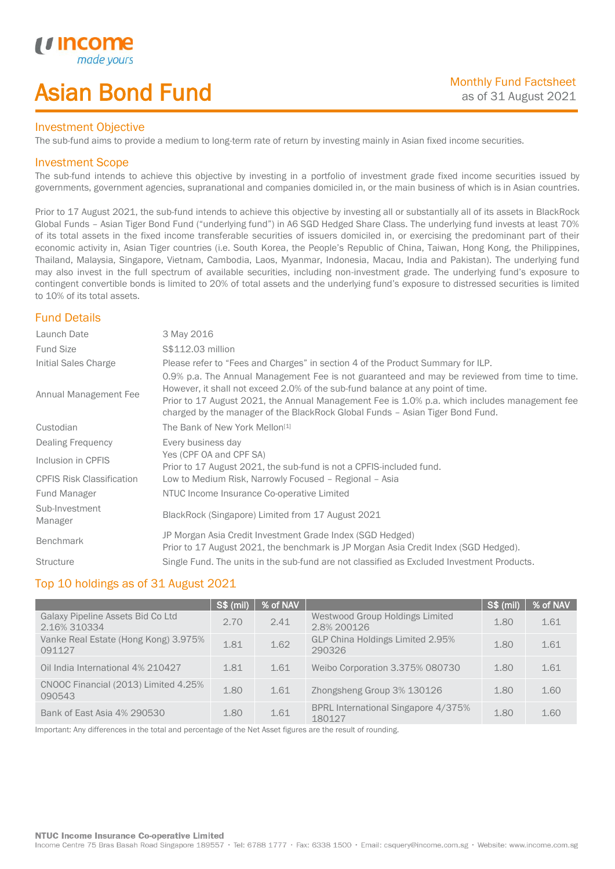# Asian Bond Fund

### Investment Objective

The sub-fund aims to provide a medium to long-term rate of return by investing mainly in Asian fixed income securities.

## Investment Scope

*u* incor

I

The sub-fund intends to achieve this objective by investing in a portfolio of investment grade fixed income securities issued by governments, government agencies, supranational and companies domiciled in, or the main business of which is in Asian countries.

Prior to 17 August 2021, the sub-fund intends to achieve this objective by investing all or substantially all of its assets in BlackRock Global Funds – Asian Tiger Bond Fund ("underlying fund") in A6 SGD Hedged Share Class. The underlying fund invests at least 70% of its total assets in the fixed income transferable securities of issuers domiciled in, or exercising the predominant part of their economic activity in, Asian Tiger countries (i.e. South Korea, the People's Republic of China, Taiwan, Hong Kong, the Philippines, Thailand, Malaysia, Singapore, Vietnam, Cambodia, Laos, Myanmar, Indonesia, Macau, India and Pakistan). The underlying fund may also invest in the full spectrum of available securities, including non-investment grade. The underlying fund's exposure to contingent convertible bonds is limited to 20% of total assets and the underlying fund's exposure to distressed securities is limited to 10% of its total assets.

# Fund Details

| Launch Date                      | 3 May 2016                                                                                                                                                                                                                                                                                                                                                        |
|----------------------------------|-------------------------------------------------------------------------------------------------------------------------------------------------------------------------------------------------------------------------------------------------------------------------------------------------------------------------------------------------------------------|
| <b>Fund Size</b>                 | S\$112.03 million                                                                                                                                                                                                                                                                                                                                                 |
| Initial Sales Charge             | Please refer to "Fees and Charges" in section 4 of the Product Summary for ILP.                                                                                                                                                                                                                                                                                   |
| Annual Management Fee            | 0.9% p.a. The Annual Management Fee is not guaranteed and may be reviewed from time to time.<br>However, it shall not exceed 2.0% of the sub-fund balance at any point of time.<br>Prior to 17 August 2021, the Annual Management Fee is 1.0% p.a. which includes management fee<br>charged by the manager of the BlackRock Global Funds - Asian Tiger Bond Fund. |
| Custodian                        | The Bank of New York Mellon <sup>[1]</sup>                                                                                                                                                                                                                                                                                                                        |
| Dealing Frequency                | Every business day                                                                                                                                                                                                                                                                                                                                                |
| Inclusion in CPFIS               | Yes (CPF OA and CPF SA)<br>Prior to 17 August 2021, the sub-fund is not a CPFIS-included fund.                                                                                                                                                                                                                                                                    |
| <b>CPFIS Risk Classification</b> | Low to Medium Risk, Narrowly Focused - Regional - Asia                                                                                                                                                                                                                                                                                                            |
| Fund Manager                     | NTUC Income Insurance Co-operative Limited                                                                                                                                                                                                                                                                                                                        |
| Sub-Investment<br>Manager        | BlackRock (Singapore) Limited from 17 August 2021                                                                                                                                                                                                                                                                                                                 |
| <b>Benchmark</b>                 | JP Morgan Asia Credit Investment Grade Index (SGD Hedged)<br>Prior to 17 August 2021, the benchmark is JP Morgan Asia Credit Index (SGD Hedged).                                                                                                                                                                                                                  |
| <b>Structure</b>                 | Single Fund. The units in the sub-fund are not classified as Excluded Investment Products.                                                                                                                                                                                                                                                                        |

# Top 10 holdings as of 31 August 2021

|                                                   | <b>S\$ (mil)</b> | % of NAV |                                                | S\$ (mil) | % of NAV |
|---------------------------------------------------|------------------|----------|------------------------------------------------|-----------|----------|
| Galaxy Pipeline Assets Bid Co Ltd<br>2.16% 310334 | 2.70             | 2.41     | Westwood Group Holdings Limited<br>2.8% 200126 | 1.80      | 1.61     |
| Vanke Real Estate (Hong Kong) 3.975%<br>091127    | 1.81             | 1.62     | GLP China Holdings Limited 2.95%<br>290326     | 1.80      | 1.61     |
| Oil India International 4% 210427                 | 1.81             | 1.61     | Weibo Corporation 3.375% 080730                | 1.80      | 1.61     |
| CNOOC Financial (2013) Limited 4.25%<br>090543    | 1.80             | 1.61     | Zhongsheng Group 3% 130126                     | 1.80      | 1.60     |
| Bank of East Asia 4% 290530                       | 1.80             | 1.61     | BPRL International Singapore 4/375%<br>180127  | 1.80      | 1.60     |

Important: Any differences in the total and percentage of the Net Asset figures are the result of rounding.